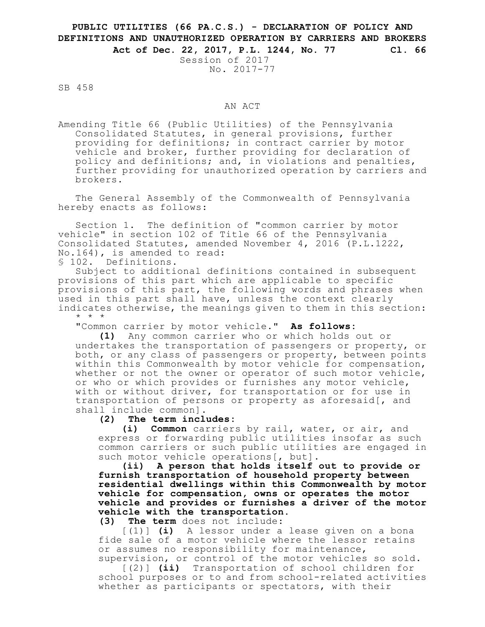## **PUBLIC UTILITIES (66 PA.C.S.) - DECLARATION OF POLICY AND DEFINITIONS AND UNAUTHORIZED OPERATION BY CARRIERS AND BROKERS Act of Dec. 22, 2017, P.L. 1244, No. 77 Cl. 66**

Session of 2017 No. 2017-77

SB 458

## AN ACT

Amending Title 66 (Public Utilities) of the Pennsylvania Consolidated Statutes, in general provisions, further providing for definitions; in contract carrier by motor vehicle and broker, further providing for declaration of policy and definitions; and, in violations and penalties, further providing for unauthorized operation by carriers and brokers.

The General Assembly of the Commonwealth of Pennsylvania hereby enacts as follows:

Section 1. The definition of "common carrier by motor vehicle" in section 102 of Title 66 of the Pennsylvania Consolidated Statutes, amended November 4, 2016 (P.L.1222, No.164), is amended to read:

§ 102. Definitions.

Subject to additional definitions contained in subsequent provisions of this part which are applicable to specific provisions of this part, the following words and phrases when used in this part shall have, unless the context clearly indicates otherwise, the meanings given to them in this section: \* \* \*

"Common carrier by motor vehicle." **As follows:**

**(1)** Any common carrier who or which holds out or undertakes the transportation of passengers or property, or both, or any class of passengers or property, between points within this Commonwealth by motor vehicle for compensation, whether or not the owner or operator of such motor vehicle, or who or which provides or furnishes any motor vehicle, with or without driver, for transportation or for use in transportation of persons or property as aforesaid[, and shall include common]**.**

## **(2) The term includes:**

**(i) Common** carriers by rail, water, or air, and express or forwarding public utilities insofar as such common carriers or such public utilities are engaged in such motor vehicle operations[, but]**.**

**(ii) A person that holds itself out to provide or furnish transportation of household property between residential dwellings within this Commonwealth by motor vehicle for compensation, owns or operates the motor vehicle and provides or furnishes a driver of the motor vehicle with the transportation.**

**(3) The term** does not include:

[(1)] **(i)** A lessor under a lease given on a bona fide sale of a motor vehicle where the lessor retains or assumes no responsibility for maintenance, supervision, or control of the motor vehicles so sold.

[(2)] **(ii)** Transportation of school children for school purposes or to and from school-related activities whether as participants or spectators, with their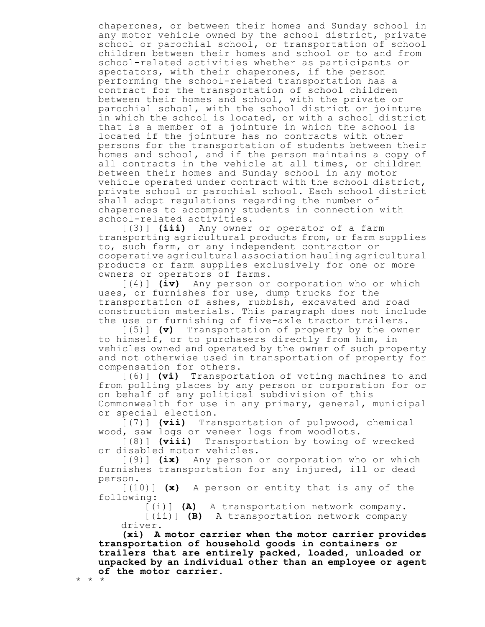chaperones, or between their homes and Sunday school in any motor vehicle owned by the school district, private school or parochial school, or transportation of school children between their homes and school or to and from school-related activities whether as participants or spectators, with their chaperones, if the person performing the school-related transportation has a contract for the transportation of school children between their homes and school, with the private or parochial school, with the school district or jointure in which the school is located, or with a school district that is a member of a jointure in which the school is located if the jointure has no contracts with other persons for the transportation of students between their homes and school, and if the person maintains a copy of all contracts in the vehicle at all times, or children between their homes and Sunday school in any motor vehicle operated under contract with the school district, private school or parochial school. Each school district shall adopt regulations regarding the number of chaperones to accompany students in connection with school-related activities.

[(3)] **(iii)** Any owner or operator of a farm transporting agricultural products from, or farm supplies to, such farm, or any independent contractor or cooperative agricultural association hauling agricultural products or farm supplies exclusively for one or more owners or operators of farms.

[(4)] **(iv)** Any person or corporation who or which uses, or furnishes for use, dump trucks for the transportation of ashes, rubbish, excavated and road construction materials. This paragraph does not include the use or furnishing of five-axle tractor trailers.

[(5)] **(v)** Transportation of property by the owner to himself, or to purchasers directly from him, in vehicles owned and operated by the owner of such property and not otherwise used in transportation of property for compensation for others.

[(6)] **(vi)** Transportation of voting machines to and from polling places by any person or corporation for or on behalf of any political subdivision of this Commonwealth for use in any primary, general, municipal or special election.

[(7)] **(vii)** Transportation of pulpwood, chemical wood, saw logs or veneer logs from woodlots.

[(8)] **(viii)** Transportation by towing of wrecked or disabled motor vehicles.

[(9)] **(ix)** Any person or corporation who or which furnishes transportation for any injured, ill or dead person.

[(10)] **(x)** A person or entity that is any of the following:

[(i)] **(A)** A transportation network company.

[(ii)] **(B)** A transportation network company driver.

**(xi) A motor carrier when the motor carrier provides transportation of household goods in containers or trailers that are entirely packed, loaded, unloaded or unpacked by an individual other than an employee or agent of the motor carrier.** \* \* \*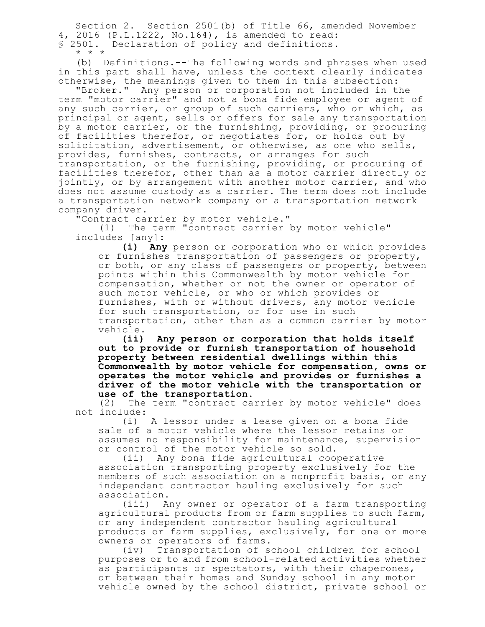Section 2. Section 2501(b) of Title 66, amended November 4, 2016 (P.L.1222, No.164), is amended to read: § 2501. Declaration of policy and definitions. \* \* \*

(b) Definitions.--The following words and phrases when used in this part shall have, unless the context clearly indicates otherwise, the meanings given to them in this subsection:

"Broker." Any person or corporation not included in the term "motor carrier" and not a bona fide employee or agent of any such carrier, or group of such carriers, who or which, as principal or agent, sells or offers for sale any transportation by a motor carrier, or the furnishing, providing, or procuring of facilities therefor, or negotiates for, or holds out by solicitation, advertisement, or otherwise, as one who sells, provides, furnishes, contracts, or arranges for such transportation, or the furnishing, providing, or procuring of facilities therefor, other than as a motor carrier directly or jointly, or by arrangement with another motor carrier, and who does not assume custody as a carrier. The term does not include a transportation network company or a transportation network company driver.

"Contract carrier by motor vehicle."

(1) The term "contract carrier by motor vehicle" includes [any]**:**

**(i) Any** person or corporation who or which provides or furnishes transportation of passengers or property, or both, or any class of passengers or property, between points within this Commonwealth by motor vehicle for compensation, whether or not the owner or operator of such motor vehicle, or who or which provides or furnishes, with or without drivers, any motor vehicle for such transportation, or for use in such transportation, other than as a common carrier by motor vehicle.

**(ii) Any person or corporation that holds itself out to provide or furnish transportation of household property between residential dwellings within this Commonwealth by motor vehicle for compensation, owns or operates the motor vehicle and provides or furnishes a driver of the motor vehicle with the transportation or use of the transportation.**

(2) The term "contract carrier by motor vehicle" does not include:

(i) A lessor under a lease given on a bona fide sale of a motor vehicle where the lessor retains or assumes no responsibility for maintenance, supervision or control of the motor vehicle so sold.

(ii) Any bona fide agricultural cooperative association transporting property exclusively for the members of such association on a nonprofit basis, or any independent contractor hauling exclusively for such association.

(iii) Any owner or operator of a farm transporting agricultural products from or farm supplies to such farm, or any independent contractor hauling agricultural products or farm supplies, exclusively, for one or more owners or operators of farms.

(iv) Transportation of school children for school purposes or to and from school-related activities whether as participants or spectators, with their chaperones, or between their homes and Sunday school in any motor vehicle owned by the school district, private school or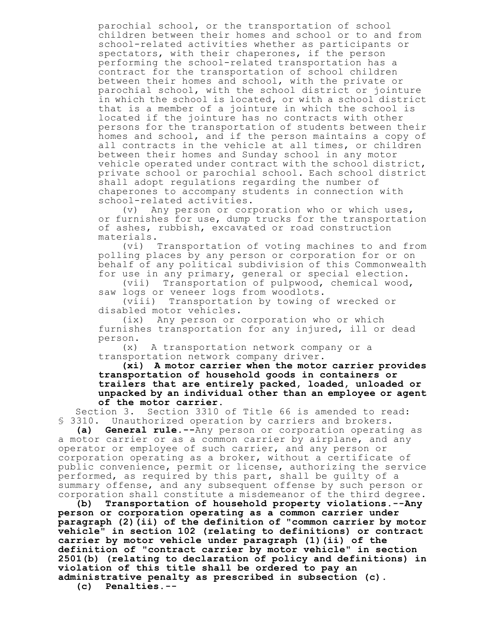parochial school, or the transportation of school children between their homes and school or to and from school-related activities whether as participants or spectators, with their chaperones, if the person performing the school-related transportation has a contract for the transportation of school children between their homes and school, with the private or parochial school, with the school district or jointure in which the school is located, or with a school district that is a member of a jointure in which the school is located if the jointure has no contracts with other persons for the transportation of students between their homes and school, and if the person maintains a copy of all contracts in the vehicle at all times, or children between their homes and Sunday school in any motor vehicle operated under contract with the school district, private school or parochial school. Each school district shall adopt regulations regarding the number of chaperones to accompany students in connection with school-related activities.

(v) Any person or corporation who or which uses, or furnishes for use, dump trucks for the transportation of ashes, rubbish, excavated or road construction materials.

(vi) Transportation of voting machines to and from polling places by any person or corporation for or on behalf of any political subdivision of this Commonwealth for use in any primary, general or special election.

(vii) Transportation of pulpwood, chemical wood, saw logs or veneer logs from woodlots.

(viii) Transportation by towing of wrecked or disabled motor vehicles.

(ix) Any person or corporation who or which furnishes transportation for any injured, ill or dead person.

(x) A transportation network company or a transportation network company driver.

**(xi) A motor carrier when the motor carrier provides transportation of household goods in containers or trailers that are entirely packed, loaded, unloaded or unpacked by an individual other than an employee or agent of the motor carrier.**

Section 3. Section 3310 of Title 66 is amended to read: § 3310. Unauthorized operation by carriers and brokers.

**(a) General rule.--**Any person or corporation operating as a motor carrier or as a common carrier by airplane, and any operator or employee of such carrier, and any person or corporation operating as a broker, without a certificate of public convenience, permit or license, authorizing the service performed, as required by this part, shall be guilty of a summary offense, and any subsequent offense by such person or corporation shall constitute a misdemeanor of the third degree.

**(b) Transportation of household property violations.--Any person or corporation operating as a common carrier under paragraph (2)(ii) of the definition of "common carrier by motor vehicle" in section 102 (relating to definitions) or contract carrier by motor vehicle under paragraph (1)(ii) of the definition of "contract carrier by motor vehicle" in section 2501(b) (relating to declaration of policy and definitions) in violation of this title shall be ordered to pay an administrative penalty as prescribed in subsection (c).**

**(c) Penalties.--**